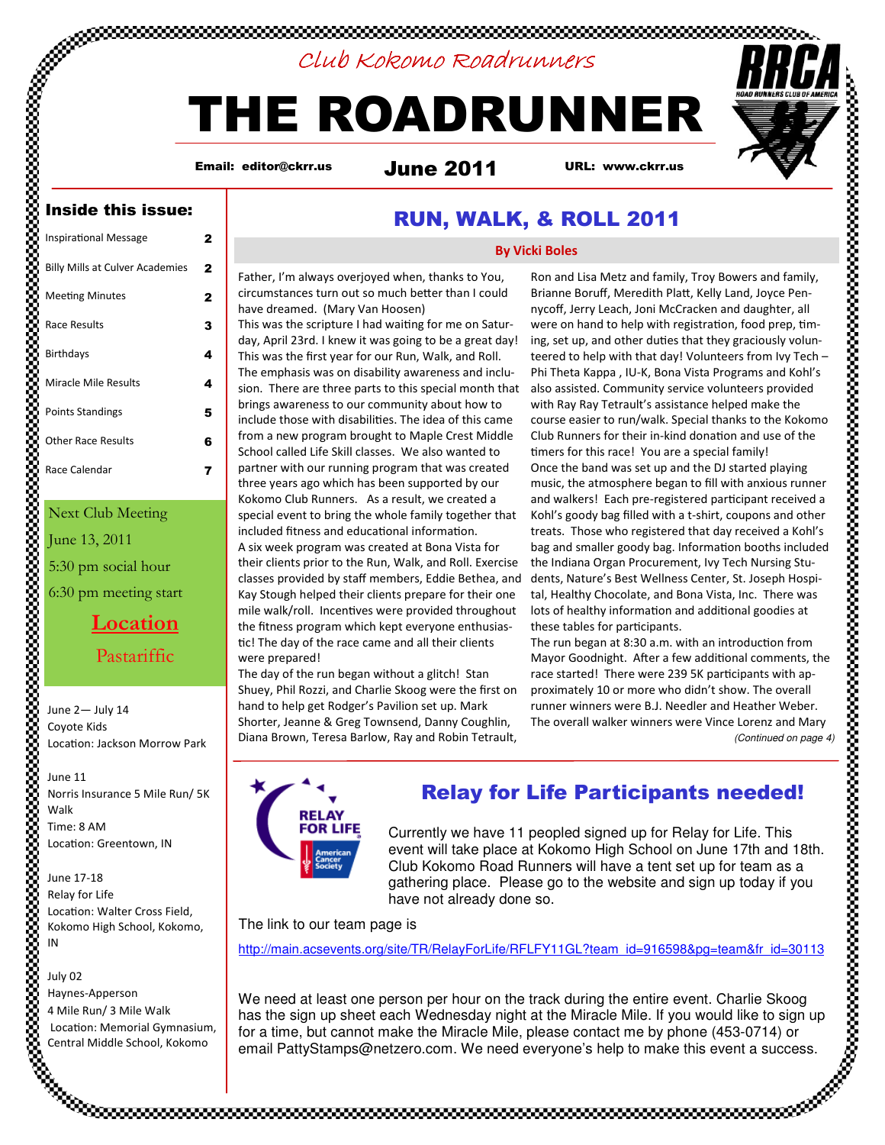# Club Kokomo Roadrunners

# THE ROADRUNNER

Email: editor@ckrr.us

June 2011 URL: www.ckrr.us

### Inside this issue:

| <b>Inspirational Message</b>           | 2 |
|----------------------------------------|---|
| <b>Billy Mills at Culver Academies</b> | 2 |
| Meeting Minutes                        | 2 |
| Race Results                           | 3 |
| <b>Birthdays</b>                       | 4 |
| Miracle Mile Results                   | 4 |
| <b>Points Standings</b>                | 5 |
| <b>Other Race Results</b>              | 6 |
| Race Calendar                          |   |
|                                        |   |

### Next Club Meeting

June 13, 2011

5:30 pm social hour 6:30 pm meeting start

> Location Pastariffic

June 2— July 14 Coyote Kids Location: Jackson Morrow Park

June 11 Norris Insurance 5 Mile Run/ 5K Walk Time: 8 AM Location: Greentown, IN

June 17-18 Relay for Life Location: Walter Cross Field, Kokomo High School, Kokomo, IN

July 02

Haynes-Apperson 4 Mile Run/ 3 Mile Walk Location: Memorial Gymnasium, Central Middle School, Kokomo

# RUN, WALK, & ROLL 2011

#### By Vicki Boles

Father, I'm always overjoyed when, thanks to You, circumstances turn out so much better than I could have dreamed. (Mary Van Hoosen)

This was the scripture I had waiting for me on Saturday, April 23rd. I knew it was going to be a great day! This was the first year for our Run, Walk, and Roll. The emphasis was on disability awareness and inclusion. There are three parts to this special month that brings awareness to our community about how to include those with disabilities. The idea of this came from a new program brought to Maple Crest Middle School called Life Skill classes. We also wanted to partner with our running program that was created three years ago which has been supported by our Kokomo Club Runners. As a result, we created a special event to bring the whole family together that included fitness and educational information. A six week program was created at Bona Vista for their clients prior to the Run, Walk, and Roll. Exercise classes provided by staff members, Eddie Bethea, and Kay Stough helped their clients prepare for their one mile walk/roll. Incentives were provided throughout the fitness program which kept everyone enthusias tic! The day of the race came and all their clients were prepared!

The day of the run began without a glitch! Stan Shuey, Phil Rozzi, and Charlie Skoog were the first on hand to help get Rodger's Pavilion set up. Mark Shorter, Jeanne & Greg Townsend, Danny Coughlin, Diana Brown, Teresa Barlow, Ray and Robin Tetrault,

Ron and Lisa Metz and family, Troy Bowers and family, Brianne Boruff, Meredith Platt, Kelly Land, Joyce Pennycoff, Jerry Leach, Joni McCracken and daughter, all were on hand to help with registration, food prep, timing, set up, and other duties that they graciously volunteered to help with that day! Volunteers from Ivy Tech – Phi Theta Kappa , IU-K, Bona Vista Programs and Kohl's also assisted. Community service volunteers provided with Ray Ray Tetrault's assistance helped make the course easier to run/walk. Special thanks to the Kokomo Club Runners for their in-kind donation and use of the timers for this race! You are a special family! Once the band was set up and the DJ started playing music, the atmosphere began to fill with anxious runner and walkers! Each pre-registered participant received a Kohl's goody bag filled with a t-shirt, coupons and other treats. Those who registered that day received a Kohl's bag and smaller goody bag. Information booths included the Indiana Organ Procurement, Ivy Tech Nursing Students, Nature's Best Wellness Center, St. Joseph Hospital, Healthy Chocolate, and Bona Vista, Inc. There was lots of healthy information and additional goodies at these tables for participants.

The run began at 8:30 a.m. with an introduction from Mayor Goodnight. After a few additional comments, the race started! There were 239 5K participants with approximately 10 or more who didn't show. The overall runner winners were B.J. Needler and Heather Weber. The overall walker winners were Vince Lorenz and Mary (Continued on page 4)



# Relay for Life Participants needed!

Currently we have 11 peopled signed up for Relay for Life. This event will take place at Kokomo High School on June 17th and 18th. Club Kokomo Road Runners will have a tent set up for team as a gathering place. Please go to the website and sign up today if you have not already done so.

The link to our team page is

http://main.acsevents.org/site/TR/RelayForLife/RFLFY11GL?team\_id=916598&pq=team&fr\_id=30113

We need at least one person per hour on the track during the entire event. Charlie Skoog has the sign up sheet each Wednesday night at the Miracle Mile. If you would like to sign up for a time, but cannot make the Miracle Mile, please contact me by phone (453-0714) or email PattyStamps@netzero.com. We need everyone's help to make this event a success.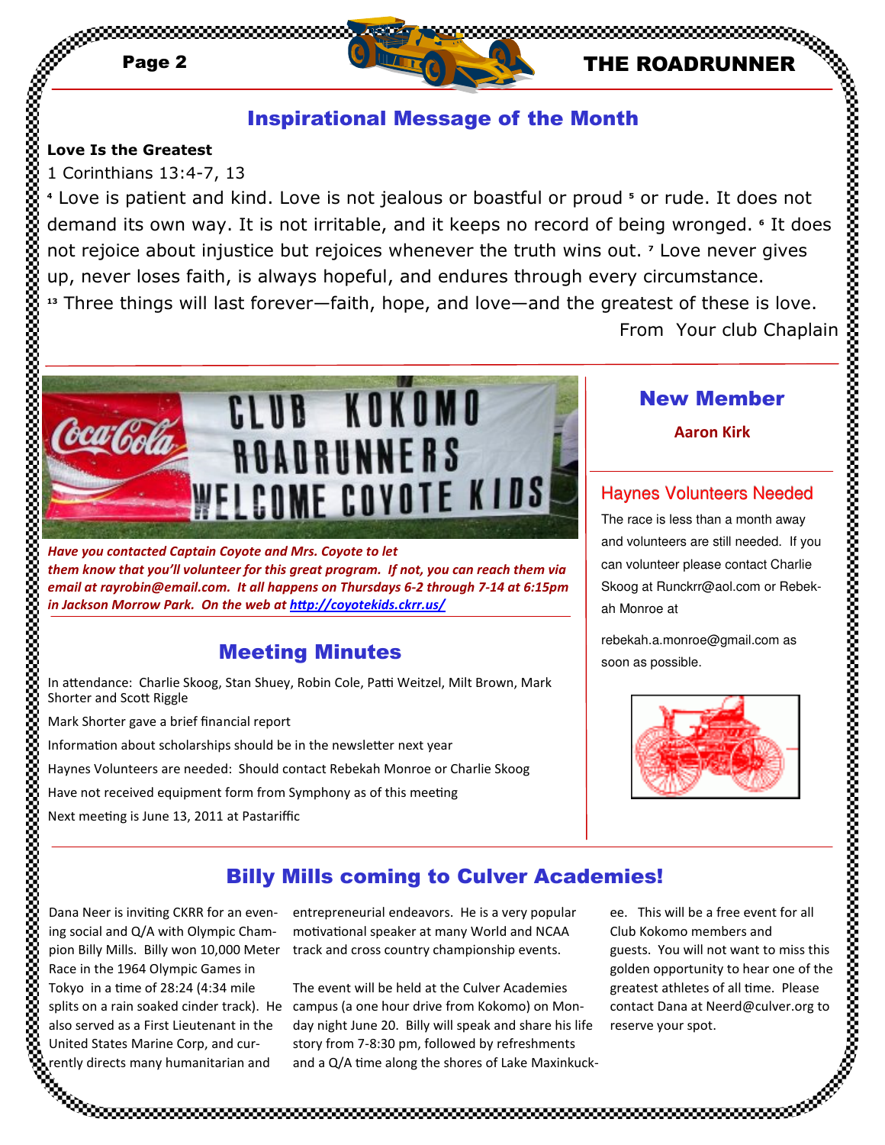# Page 2 **THE ROADRUNNER**

# Inspirational Message of the Month

### Love Is the Greatest

1 Corinthians 13:4-7, 13

<sup>4</sup> Love is patient and kind. Love is not jealous or boastful or proud <sup>5</sup> or rude. It does not demand its own way. It is not irritable, and it keeps no record of being wronged. • It does not rejoice about injustice but rejoices whenever the truth wins out. <sup>7</sup> Love never gives up, never loses faith, is always hopeful, and endures through every circumstance. <sup>13</sup> Three things will last forever—faith, hope, and love—and the greatest of these is love. th<br>
1's or rude. It does not<br>
being wronged. • It does<br>
ut. ' Love never gives<br>
eatest of these is love.<br>
From Your club Chaplain<br>
New Member<br>
Aaron Kirk<br>
aynes Volunteers are still needed<br>
race is less than a month away<br>



Have you contacted Captain Coyote and Mrs. Coyote to let them know that you'll volunteer for this great program. If not, you can reach them via email at rayrobin@email.com. It all happens on Thursdays 6-2 through 7-14 at 6:15pm in Jackson Morrow Park. On the web at http://coyotekids.ckrr.us/

# Meeting Minutes

In attendance: Charlie Skoog, Stan Shuey, Robin Cole, Patti Weitzel, Milt Brown, Mark Shorter and Scott Riggle

Mark Shorter gave a brief financial report

Information about scholarships should be in the newsletter next year

Haynes Volunteers are needed: Should contact Rebekah Monroe or Charlie Skoog

Have not received equipment form from Symphony as of this meeting

Next meeting is June 13, 2011 at Pastariffic

# New Member

Aaron Kirk

# Haynes Volunteers Needed

The race is less than a month away and volunteers are still needed. If you can volunteer please contact Charlie Skoog at Runckrr@aol.com or Rebekah Monroe at

rebekah.a.monroe@gmail.com as soon as possible.



# Billy Mills coming to Culver Academies!

Dana Neer is inviting CKRR for an evening social and Q/A with Olympic Champion Billy Mills. Billy won 10,000 Meter Race in the 1964 Olympic Games in Tokyo in a time of  $28:24$  (4:34 mile splits on a rain soaked cinder track). He also served as a First Lieutenant in the United States Marine Corp, and currently directs many humanitarian and

entrepreneurial endeavors. He is a very popular motivational speaker at many World and NCAA track and cross country championship events.

The event will be held at the Culver Academies campus (a one hour drive from Kokomo) on Monday night June 20. Billy will speak and share his life story from 7-8:30 pm, followed by refreshments and a  $Q/A$  time along the shores of Lake Maxinkuck-

ee. This will be a free event for all Club Kokomo members and guests. You will not want to miss this golden opportunity to hear one of the greatest athletes of all time. Please contact Dana at Neerd@culver.org to reserve your spot.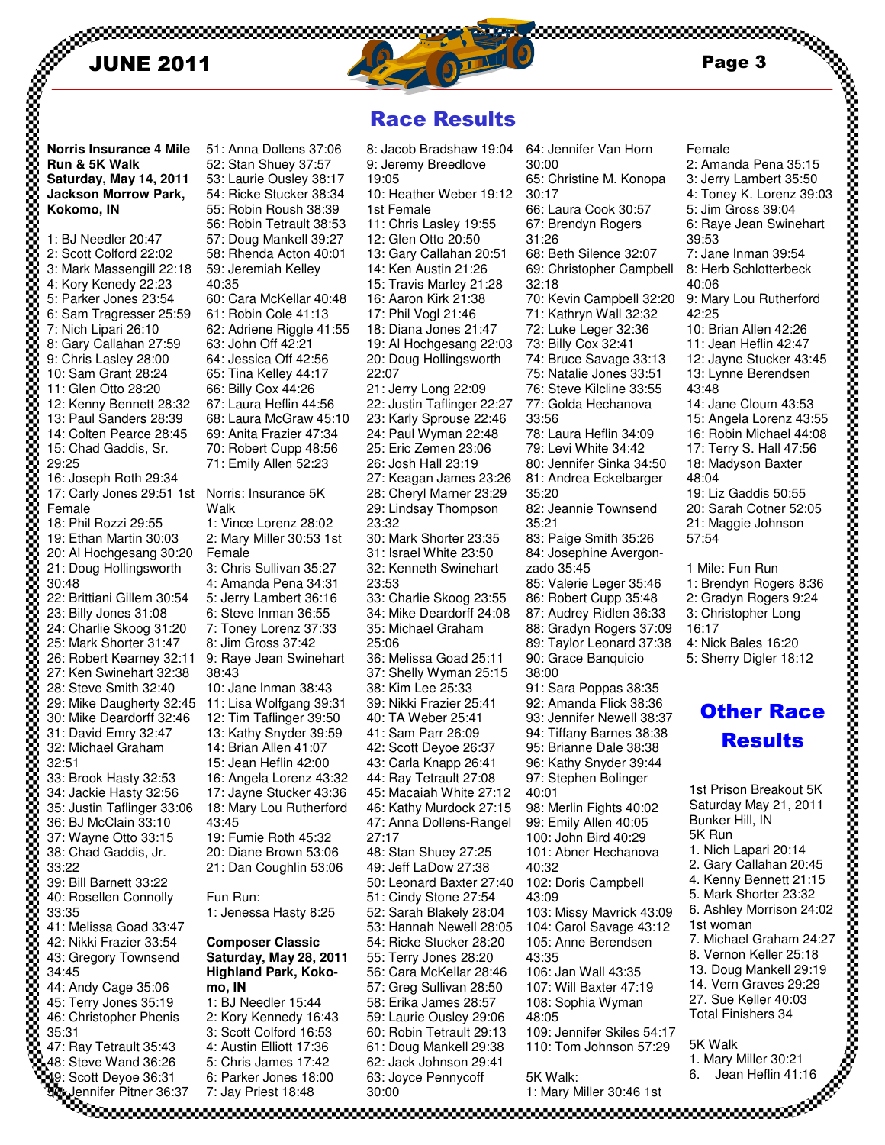

Race Results

2: Amanda Pena 35:15

Female

**Run & 5K Walk Saturday, May 14, 2011 Jackson Morrow Park, Kokomo, IN**

**NORE 2018**<br>
Norris Insurance 4 Mile<br>
Num & 5K Walk<br>
Staturday, May 14, 2011<br>
Jackson Morrow Park,<br>
1. BJ Needler 20.47<br>
2: Scott Colford 22:02<br>
4: Kory Kenedy 22:23<br>
4: Kory Kenedy 22:23<br>
5: Parker Jones 23:54<br>
6: Cary Ca 1: BJ Needler 20:47 2: Scott Colford 22:02 3: Mark Massengill 22:18 4: Kory Kenedy 22:23 5: Parker Jones 23:54 6: Sam Tragresser 25:59 7: Nich Lipari 26:10 8: Gary Callahan 27:59 9: Chris Lasley 28:00 10: Sam Grant 28:24 11: Glen Otto 28:20 12: Kenny Bennett 28:32 13: Paul Sanders 28:39 14: Colten Pearce 28:45 15: Chad Gaddis, Sr. 29:25 16: Joseph Roth 29:34 17: Carly Jones 29:51 1st Norris: Insurance 5K Female 18: Phil Rozzi 29:55 19: Ethan Martin 30:03 20: Al Hochgesang 30:20 21: Doug Hollingsworth 30:48 22: Brittiani Gillem 30:54 23: Billy Jones 31:08 24: Charlie Skoog 31:20 25: Mark Shorter 31:47 26: Robert Kearney 32:11 27: Ken Swinehart 32:38 28: Steve Smith 32:40 29: Mike Daugherty 32:45 30: Mike Deardorff 32:46 31: David Emry 32:47 32: Michael Graham 32:51 33: Brook Hasty 32:53 34: Jackie Hasty 32:56 35: Justin Taflinger 33:06 36: BJ McClain 33:10 37: Wayne Otto 33:15 38: Chad Gaddis, Jr. 33:22 39: Bill Barnett 33:22 40: Rosellen Connolly 33:35 41: Melissa Goad 33:47 42: Nikki Frazier 33:54 43: Gregory Townsend 34:45 44: Andy Cage 35:06 45: Terry Jones 35:19 46: Christopher Phenis 35:31 47: Ray Tetrault 35:43 48: Steve Wand 36:26 49: Scott Deyoe 36:31 40:35 Walk Female 38:43 43:45 Fun Run: **mo, IN**  6: Parker Jones 18:00

50: Jennifer Pitner 36:37

7: Jay Priest 18:48

51: Anna Dollens 37:06 52: Stan Shuey 37:57 53: Laurie Ousley 38:17 54: Ricke Stucker 38:34 55: Robin Roush 38:39 56: Robin Tetrault 38:53 57: Doug Mankell 39:27 58: Rhenda Acton 40:01 59: Jeremiah Kelley 60: Cara McKellar 40:48 61: Robin Cole 41:13 62: Adriene Riggle 41:55 63: John Off 42:21 64: Jessica Off 42:56 65: Tina Kelley 44:17 66: Billy Cox 44:26 67: Laura Heflin 44:56 68: Laura McGraw 45:10 69: Anita Frazier 47:34 70: Robert Cupp 48:56 71: Emily Allen 52:23 1: Vince Lorenz 28:02 2: Mary Miller 30:53 1st 3: Chris Sullivan 35:27 4: Amanda Pena 34:31 5: Jerry Lambert 36:16 6: Steve Inman 36:55 7: Toney Lorenz 37:33 8: Jim Gross 37:42 9: Raye Jean Swinehart 10: Jane Inman 38:43 11: Lisa Wolfgang 39:31 12: Tim Taflinger 39:50 13: Kathy Snyder 39:59 14: Brian Allen 41:07 15: Jean Heflin 42:00 16: Angela Lorenz 43:32 17: Jayne Stucker 43:36 18: Mary Lou Rutherford 19: Fumie Roth 45:32 20: Diane Brown 53:06 21: Dan Coughlin 53:06 1: Jenessa Hasty 8:25 **Composer Classic Saturday, May 28, 2011 Highland Park, Koko-**1: BJ Needler 15:44 2: Kory Kennedy 16:43 3: Scott Colford 16:53 4: Austin Elliott 17:36 5: Chris James 17:42 19:05 22:07 23:32 23:53 25:06 27:17

8: Jacob Bradshaw 19:04 9: Jeremy Breedlove 10: Heather Weber 19:12 1st Female 11: Chris Lasley 19:55 12: Glen Otto 20:50 13: Gary Callahan 20:51 14: Ken Austin 21:26 15: Travis Marley 21:28 16: Aaron Kirk 21:38 17: Phil Vogl 21:46 18: Diana Jones 21:47 19: Al Hochgesang 22:03 20: Doug Hollingsworth 21: Jerry Long 22:09 22: Justin Taflinger 22:27 23: Karly Sprouse 22:46 24: Paul Wyman 22:48 25: Eric Zemen 23:06 26: Josh Hall 23:19 27: Keagan James 23:26 28: Cheryl Marner 23:29 29: Lindsay Thompson 30: Mark Shorter 23:35 31: Israel White 23:50 32: Kenneth Swinehart 33: Charlie Skoog 23:55 34: Mike Deardorff 24:08 35: Michael Graham 36: Melissa Goad 25:11 37: Shelly Wyman 25:15 38: Kim Lee 25:33 39: Nikki Frazier 25:41 40: TA Weber 25:41 41: Sam Parr 26:09 42: Scott Deyoe 26:37 43: Carla Knapp 26:41 44: Ray Tetrault 27:08 45: Macaiah White 27:12 46: Kathy Murdock 27:15 47: Anna Dollens-Rangel 48: Stan Shuey 27:25 49: Jeff LaDow 27:38 50: Leonard Baxter 27:40 51: Cindy Stone 27:54 52: Sarah Blakely 28:04 53: Hannah Newell 28:05 54: Ricke Stucker 28:20 55: Terry Jones 28:20 56: Cara McKellar 28:46 57: Greg Sullivan 28:50 58: Erika James 28:57 59: Laurie Ousley 29:06 60: Robin Tetrault 29:13 61: Doug Mankell 29:38 62: Jack Johnson 29:41 63: Joyce Pennycoff 30:00

64: Jennifer Van Horn 30:00 65: Christine M. Konopa 30:17 66: Laura Cook 30:57 67: Brendyn Rogers 31:26 68: Beth Silence 32:07 69: Christopher Campbell 32:18 70: Kevin Campbell 32:20 71: Kathryn Wall 32:32 72: Luke Leger 32:36 73: Billy Cox 32:41 74: Bruce Savage 33:13 75: Natalie Jones 33:51 76: Steve Kilcline 33:55 77: Golda Hechanova 33:56 78: Laura Heflin 34:09 79: Levi White 34:42 80: Jennifer Sinka 34:50 81: Andrea Eckelbarger 35:20 82: Jeannie Townsend 35:21 83: Paige Smith 35:26 84: Josephine Avergonzado 35:45 85: Valerie Leger 35:46 86: Robert Cupp 35:48 87: Audrey Ridlen 36:33 88: Gradyn Rogers 37:09 89: Taylor Leonard 37:38 90: Grace Banquicio 38:00 91: Sara Poppas 38:35 92: Amanda Flick 38:36 93: Jennifer Newell 38:37 94: Tiffany Barnes 38:38 95: Brianne Dale 38:38 96: Kathy Snyder 39:44 97: Stephen Bolinger 40:01 98: Merlin Fights 40:02 99: Emily Allen 40:05 100: John Bird 40:29 101: Abner Hechanova 40:32 102: Doris Campbell 43:09 103: Missy Mavrick 43:09 104: Carol Savage 43:12 105: Anne Berendsen 43:35 106: Jan Wall 43:35 107: Will Baxter 47:19 108: Sophia Wyman 48:05 109: Jennifer Skiles 54:17 110: Tom Johnson 57:29 5K Walk:

1: Mary Miller 30:46 1st

3: Jerry Lambert 35:50 4: Toney K. Lorenz 39:03 5: Jim Gross 39:04 6: Raye Jean Swinehart 39:53 7: Jane Inman 39:54 8: Herb Schlotterbeck 40:06 9: Mary Lou Rutherford 42:25 10: Brian Allen 42:26 11: Jean Heflin 42:47 12: Jayne Stucker 43:45 13: Lynne Berendsen 43:48 14: Jane Cloum 43:53 15: Angela Lorenz 43:55 16: Robin Michael 44:08 17: Terry S. Hall 47:56 18: Madyson Baxter 48:04 19: Liz Gaddis 50:55 20: Sarah Cotner 52:05 21: Maggie Johnson 57:54 1 Mile: Fun Run 1: Brendyn Rogers 8:36 2: Gradyn Rogers 9:24 3: Christopher Long 16:17 4: Nick Bales 16:20 5: Sherry Digler 18:12

# Other Race **Results**

1st Prison Breakout 5K Saturday May 21, 2011 Bunker Hill, IN 5K Run 1. Nich Lapari 20:14 2. Gary Callahan 20:45 4. Kenny Bennett 21:15 5. Mark Shorter 23:32 6. Ashley Morrison 24:02 1st woman 7. Michael Graham 24:27 8. Vernon Keller 25:18 13. Doug Mankell 29:19 14. Vern Graves 29:29 27. Sue Keller 40:03 Total Finishers 34 5K Walk

1. Mary Miller 30:21 6. Jean Heflin 41:16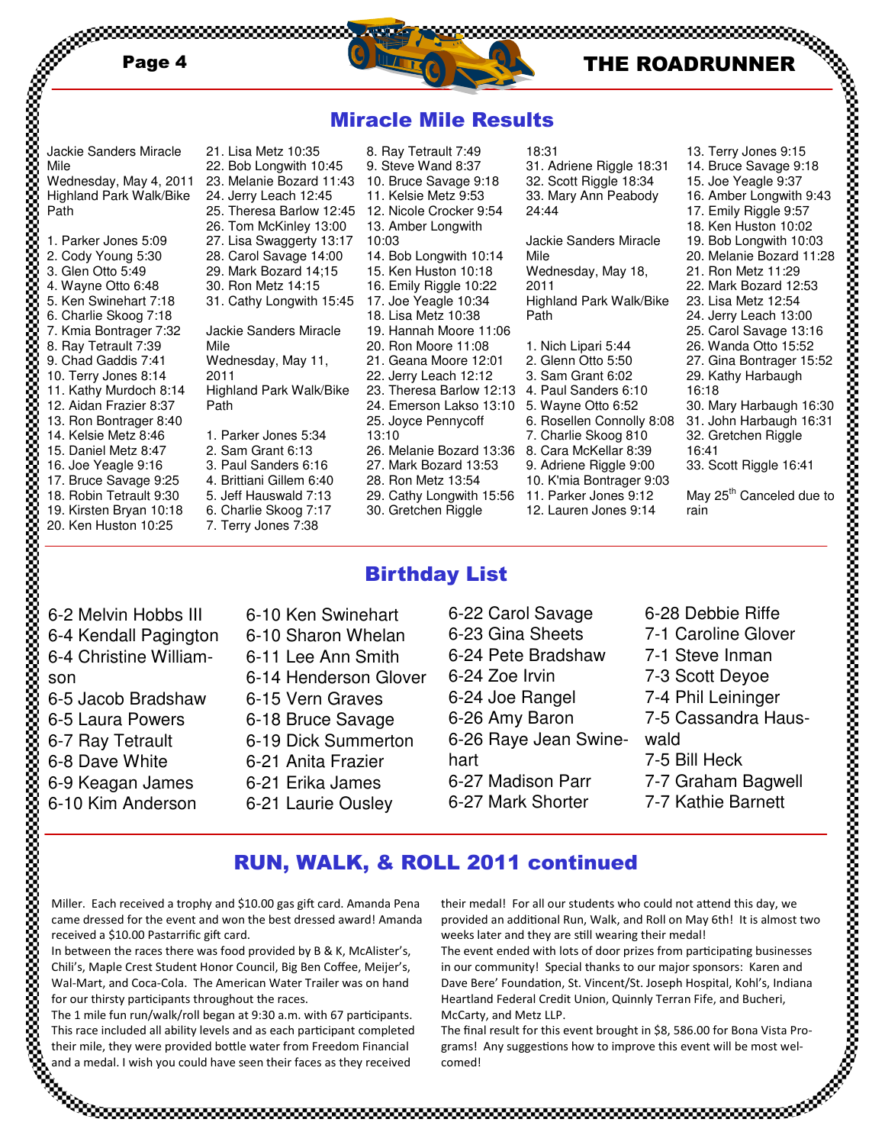



18:31

24:44

Mile

2011

Path

31. Adriene Riggle 18:31 32. Scott Riggle 18:34 33. Mary Ann Peabody

Jackie Sanders Miracle

Highland Park Walk/Bike

Wednesday, May 18,

1. Nich Lipari 5:44 2. Glenn Otto 5:50 3. Sam Grant 6:02 4. Paul Sanders 6:10 5. Wayne Otto 6:52

7. Charlie Skoog 810 8. Cara McKellar 8:39 9. Adriene Riggle 9:00 10. K'mia Bontrager 9:03 11. Parker Jones 9:12 12. Lauren Jones 9:14

## Miracle Mile Results

8. Ray Tetrault 7:49 9. Steve Wand 8:37 10. Bruce Savage 9:18 11. Kelsie Metz 9:53 12. Nicole Crocker 9:54 13. Amber Longwith

14. Bob Longwith 10:14 15. Ken Huston 10:18 16. Emily Riggle 10:22 17. Joe Yeagle 10:34 18. Lisa Metz 10:38 19. Hannah Moore 11:06 20. Ron Moore 11:08 21. Geana Moore 12:01 22. Jerry Leach 12:12 23. Theresa Barlow 12:13 24. Emerson Lakso 13:10 25. Joyce Pennycoff

10:03

13:10

| Jackie Sanders Miracle                                          | 21.                      |
|-----------------------------------------------------------------|--------------------------|
| Mile                                                            | 22                       |
| Wednesday, May 4, 2011                                          | 23.                      |
| <b>Highland Park Walk/Bike</b>                                  | 24                       |
| Path                                                            | 25.                      |
| 1. Parker Jones 5:09<br>2. Cody Young 5:30<br>3. Glen Otto 5:49 | 26.<br>27.<br>28.<br>29. |

4. Wayne Otto 6:48 5. Ken Swinehart 7:18 6. Charlie Skoog 7:18 7. Kmia Bontrager 7:32 8. Ray Tetrault 7:39 9. Chad Gaddis 7:41 10. Terry Jones 8:14 11. Kathy Murdoch 8:14 12. Aidan Frazier 8:37 13. Ron Bontrager 8:40 14. Kelsie Metz 8:46 15. Daniel Metz 8:47

- 16. Joe Yeagle 9:16 17. Bruce Savage 9:25 18. Robin Tetrault 9:30
- 19. Kirsten Bryan 10:18
- 20. Ken Huston 10:25

22. Bob Longwith 10:45 23. Melanie Bozard 11:43 Jerry Leach 12:45 25. Theresa Barlow 12:45 Tom McKinley 13:00 Lisa Swaggerty 13:17 Carol Savage 14:00 Mark Bozard 14;15 30. Ron Metz 14:15 31. Cathy Longwith 15:45 Jackie Sanders Miracle Mile Wednesday, May 11, 2011 Highland Park Walk/Bike Path 1. Parker Jones 5:34 2. Sam Grant 6:13 3. Paul Sanders 6:16

Lisa Metz 10:35

- 4. Brittiani Gillem 6:40
- 5. Jeff Hauswald 7:13
- 6. Charlie Skoog 7:17
- 7. Terry Jones 7:38

# Birthday List

26. Melanie Bozard 13:36 27. Mark Bozard 13:53 28. Ron Metz 13:54 29. Cathy Longwith 15:56 30. Gretchen Riggle

- 6-2 Melvin Hobbs III 6-4 Kendall Pagington 6-4 Christine Williamson 6-5 Jacob Bradshaw 6-5 Laura Powers 6-7 Ray Tetrault 6-8 Dave White 6-9 Keagan James 6-10 Kim Anderson
- 6-10 Ken Swinehart 6-10 Sharon Whelan 6-11 Lee Ann Smith 6-14 Henderson Glover 6-15 Vern Graves 6-18 Bruce Savage 6-19 Dick Summerton 6-21 Anita Frazier 6-21 Erika James 6-21 Laurie Ousley

### 6-22 Carol Savage 6-23 Gina Sheets 6-24 Pete Bradshaw 6-24 Zoe Irvin 6-24 Joe Rangel 6-26 Amy Baron 6-26 Raye Jean Swinehart 6-27 Madison Parr 6-27 Mark Shorter

- 6. Rosellen Connolly 8:08 13. Terry Jones 9:15 14. Bruce Savage 9:18 15. Joe Yeagle 9:37 16. Amber Longwith 9:43 17. Emily Riggle 9:57 18. Ken Huston 10:02 19. Bob Longwith 10:03 20. Melanie Bozard 11:28 21. Ron Metz 11:29 22. Mark Bozard 12:53 23. Lisa Metz 12:54 24. Jerry Leach 13:00 25. Carol Savage 13:16 26. Wanda Otto 15:52 27. Gina Bontrager 15:52 29. Kathy Harbaugh 16:18 30. Mary Harbaugh 16:30 31. John Harbaugh 16:31 32. Gretchen Riggle 16:41 33. Scott Riggle 16:41 May 25<sup>th</sup> Canceled due to rain
	- 6-28 Debbie Riffe 7-1 Caroline Glover 7-1 Steve Inman 7-3 Scott Deyoe 7-4 Phil Leininger 7-5 Cassandra Haus-7-5 Bill Heck 7-7 Graham Bagwell 7-7 Kathie Barnett

# RUN, WALK, & ROLL 2011 continued

Miller. Each received a trophy and \$10.00 gas gift card. Amanda Pena came dressed for the event and won the best dressed award! Amanda received a \$10.00 Pastarrific gift card.

In between the races there was food provided by B & K, McAlister's, Chili's, Maple Crest Student Honor Council, Big Ben Coffee, Meijer's, Wal-Mart, and Coca-Cola. The American Water Trailer was on hand for our thirsty participants throughout the races.

The 1 mile fun run/walk/roll began at 9:30 a.m. with 67 participants. This race included all ability levels and as each participant completed their mile, they were provided bottle water from Freedom Financial and a medal. I wish you could have seen their faces as they received

their medal! For all our students who could not attend this day, we provided an additional Run, Walk, and Roll on May 6th! It is almost two weeks later and they are still wearing their medal!

wald

The event ended with lots of door prizes from participating businesses in our community! Special thanks to our major sponsors: Karen and Dave Bere' Foundation, St. Vincent/St. Joseph Hospital, Kohl's, Indiana Heartland Federal Credit Union, Quinnly Terran Fife, and Bucheri, McCarty, and Metz LLP.

The final result for this event brought in \$8, 586.00 for Bona Vista Programs! Any suggestions how to improve this event will be most welcomed!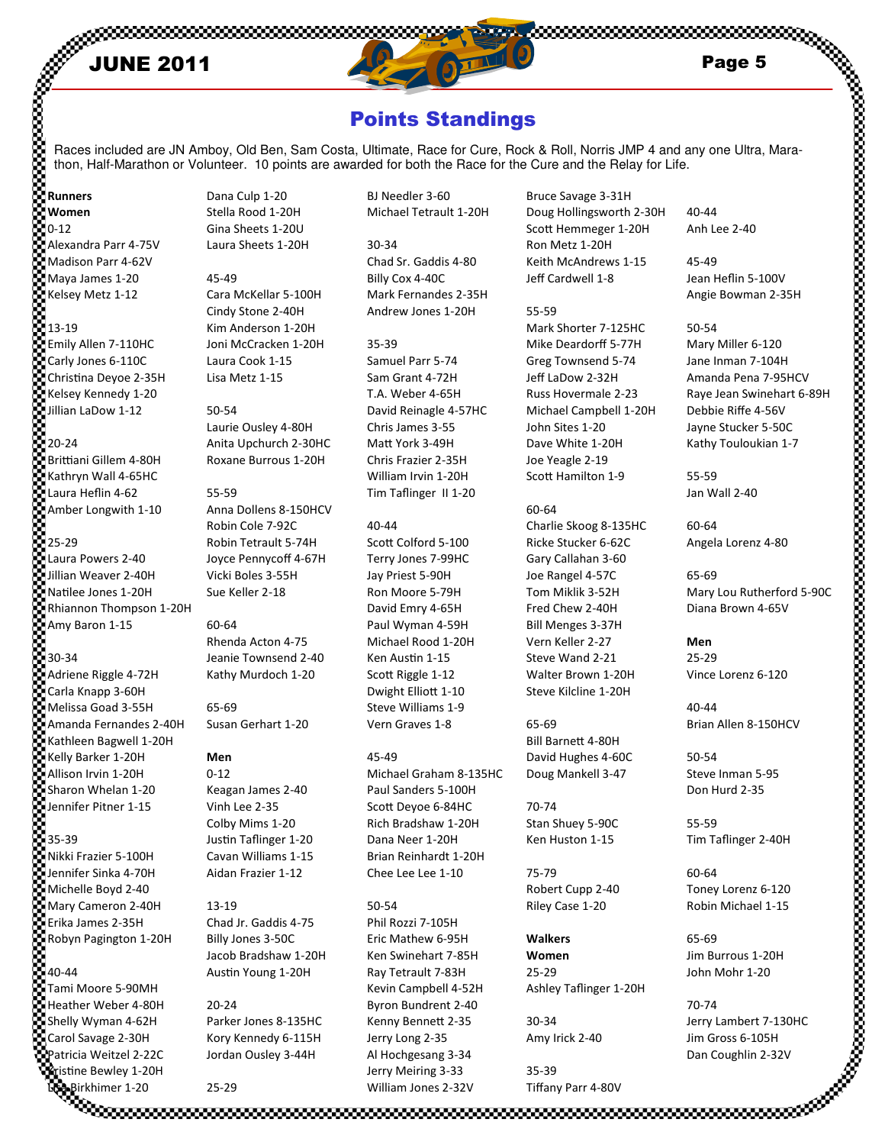

# Points Standings

Races included are JN Amboy, Old Ben, Sam Costa, Ultimate, Race for Cure, Rock & Roll, Norris JMP 4 and any one Ultra, Marathon, Half-Marathon or Volunteer. 10 points are awarded for both the Race for the Cure and the Relay for Life.

Women 0-12 Alexandra Parr 4-75V Madison Parr 4-62V Maya James 1-20 Kelsey Metz 1-12 13-19 Emily Allen 7-110HC Carly Jones 6-110C Christina Deyoe 2-35H Kelsey Kennedy 1-20 Jillian LaDow 1-12 20-24

Runners

Brittiani Gillem 4-80H Kathryn Wall 4-65HC Laura Heflin 4-62 Amber Longwith 1-10 25-29 Laura Powers 2-40

Jillian Weaver 2-40H Natilee Jones 1-20H Rhiannon Thompson 1-20H Amy Baron 1-15

30-34

Adriene Riggle 4-72H Carla Knapp 3-60H Melissa Goad 3-55H Amanda Fernandes 2-40H Kathleen Bagwell 1-20H Kelly Barker 1-20H Allison Irvin 1-20H Sharon Whelan 1-20 Jennifer Pitner 1-15

35-39 Nikki Frazier 5-100H Jennifer Sinka 4-70H Michelle Boyd 2-40 Mary Cameron 2-40H Erika James 2-35H Robyn Pagington 1-20H 40-44 Tami Moore 5-90MH Heather Weber 4-80H Shelly Wyman 4-62H

Carol Savage 2-30H Patricia Weitzel 2-22C Kristine Bewley 1-20H

Dana Culp 1-20 Stella Rood 1-20H Gina Sheets 1-20U Laura Sheets 1-20H

45-49 Cara McKellar 5-100H Cindy Stone 2-40H Kim Anderson 1-20H Joni McCracken 1-20H Laura Cook 1-15 Lisa Metz 1-15

#### 50-54 Laurie Ousley 4-80H Anita Upchurch 2-30HC Roxane Burrous 1-20H

55-59 Anna Dollens 8-150HCV Robin Cole 7-92C Robin Tetrault 5-74H Joyce Pennycoff 4-67H Vicki Boles 3-55H Sue Keller 2-18

60-64 Rhenda Acton 4-75 Jeanie Townsend 2-40 Kathy Murdoch 1-20

65-69 Susan Gerhart 1-20

#### Men

0-12 Keagan James 2-40 Vinh Lee 2-35 Colby Mims 1-20 Justin Taflinger 1-20 Cavan Williams 1-15 Aidan Frazier 1-12

13-19 Chad Jr. Gaddis 4-75 Billy Jones 3-50C Jacob Bradshaw 1-20H Austin Young 1-20H

20-24 Parker Jones 8-135HC Kory Kennedy 6-115H Jordan Ousley 3-44H

25-29

BJ Needler 3-60 Michael Tetrault 1-20H

30-34 Chad Sr. Gaddis 4-80 Billy Cox 4-40C Mark Fernandes 2-35H Andrew Jones 1-20H

35-39 Samuel Parr 5-74 Sam Grant 4-72H T.A. Weber 4-65H David Reinagle 4-57HC Chris James 3-55 Matt York 3-49H Chris Frazier 2-35H William Irvin 1-20H Tim Taflinger II 1-20

40-44 Scott Colford 5-100 Terry Jones 7-99HC Jay Priest 5-90H Ron Moore 5-79H David Emry 4-65H Paul Wyman 4-59H Michael Rood 1-20H Ken Austin 1-15 Scott Riggle 1-12 Dwight Elliott 1-10 Steve Williams 1-9 Vern Graves 1-8

45-49 Michael Graham 8-135HC Paul Sanders 5-100H Scott Devoe 6-84HC Rich Bradshaw 1-20H Dana Neer 1-20H Brian Reinhardt 1-20H Chee Lee Lee 1-10

#### 50-54

Lisan Jones 2-32V Tiffany Parr 4-80V<br>Concentration Birm (Parr 4-80V Tiffany Parr 4-80V Tiffany Parr 4-80V Tiffany Parr 4-80V Tiffany Parr 4-80V Tif Phil Rozzi 7-105H Eric Mathew 6-95H Ken Swinehart 7-85H Ray Tetrault 7-83H Kevin Campbell 4-52H Byron Bundrent 2-40 Kenny Bennett 2-35 Jerry Long 2-35 Al Hochgesang 3-34 Jerry Meiring 3-33 William Jones 2-32V

Bruce Savage 3-31H Doug Hollingsworth 2-30H Scott Hemmeger 1-20H Ron Metz 1-20H Keith McAndrews 1-15 Jeff Cardwell 1-8

55-59

Mark Shorter 7-125HC Mike Deardorff 5-77H Greg Townsend 5-74 Jeff LaDow 2-32H Russ Hovermale 2-23 Michael Campbell 1-20H John Sites 1-20 Dave White 1-20H Joe Yeagle 2-19 Scott Hamilton 1-9

#### 60-64

Charlie Skoog 8-135HC Ricke Stucker 6-62C Gary Callahan 3-60 Joe Rangel 4-57C Tom Miklik 3-52H Fred Chew 2-40H Bill Menges 3-37H Vern Keller 2-27 Steve Wand 2-21 Walter Brown 1-20H Steve Kilcline 1-20H

65-69 Bill Barnett 4-80H David Hughes 4-60C Doug Mankell 3-47

70-74 Stan Shuey 5-90C Ken Huston 1-15

75-79 Robert Cupp 2-40 Riley Case 1-20

Walkers Women 25-29 Ashley Taflinger 1-20H

30-34 Amy Irick 2-40

35-39 Tiffany Parr 4-80V 40-44 Anh Lee 2-40

45-49 Jean Heflin 5-100V Angie Bowman 2-35H

50-54 Mary Miller 6-120 Jane Inman 7-104H Amanda Pena 7-95HCV Raye Jean Swinehart 6-89H Debbie Riffe 4-56V Jayne Stucker 5-50C Kathy Touloukian 1-7

55-59 Jan Wall 2-40

60-64 Angela Lorenz 4-80

65-69 Mary Lou Rutherford 5-90C Diana Brown 4-65V

#### Men 25-29 Vince Lorenz 6-120

40-44 Brian Allen 8-150HCV

50-54 Steve Inman 5-95 Don Hurd 2-35

55-59 Tim Taflinger 2-40H

60-64 Toney Lorenz 6-120 Robin Michael 1-15

65-69 Jim Burrous 1-20H John Mohr 1-20

70-74 Jerry Lambert 7-130HC Jim Gross 6-105H Dan Coughlin 2-32V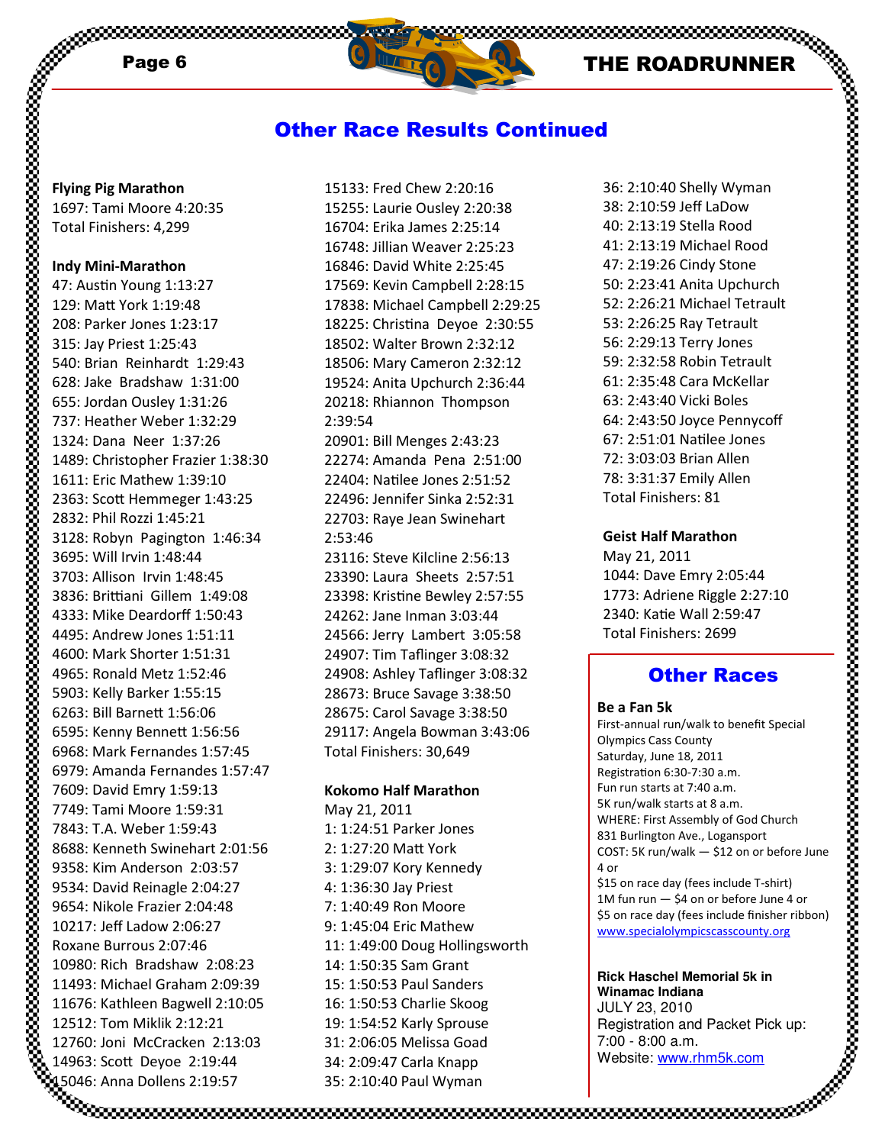,,,,,,,,,,,,,,

### Other Race Results Continued

Flying Pig Marathon 1697: Tami Moore 4:20:35 Total Finishers: 4,299

#### Indy Mini-Marathon

47: Austin Young 1:13:27 129: Matt York 1:19:48 208: Parker Jones 1:23:17 315: Jay Priest 1:25:43 540: Brian Reinhardt 1:29:43 628: Jake Bradshaw 1:31:00 655: Jordan Ousley 1:31:26 737: Heather Weber 1:32:29 1324: Dana Neer 1:37:26 1489: Christopher Frazier 1:38:30 1611: Eric Mathew 1:39:10 2363: Scott Hemmeger 1:43:25 2832: Phil Rozzi 1:45:21 3128: Robyn Pagington 1:46:34 3695: Will Irvin 1:48:44 3703: Allison Irvin 1:48:45 3836: Brittiani Gillem 1:49:08 4333: Mike Deardorff 1:50:43 4495: Andrew Jones 1:51:11 4600: Mark Shorter 1:51:31 4965: Ronald Metz 1:52:46 5903: Kelly Barker 1:55:15 6263: Bill Barnett 1:56:06 6595: Kenny Bennett 1:56:56 6968: Mark Fernandes 1:57:45 6979: Amanda Fernandes 1:57:47 7609: David Emry 1:59:13 7749: Tami Moore 1:59:31 7843: T.A. Weber 1:59:43 8688: Kenneth Swinehart 2:01:56 9358: Kim Anderson 2:03:57 9534: David Reinagle 2:04:27 9654: Nikole Frazier 2:04:48 10217: Jeff Ladow 2:06:27 Roxane Burrous 2:07:46 10980: Rich Bradshaw 2:08:23 11493: Michael Graham 2:09:39 11676: Kathleen Bagwell 2:10:05 12512: Tom Miklik 2:12:21 12760: Joni McCracken 2:13:03 14963: Scott Deyoe 2:19:44 15046: Anna Dollens 2:19:57

15133: Fred Chew 2:20:16 15255: Laurie Ousley 2:20:38 16704: Erika James 2:25:14 16748: Jillian Weaver 2:25:23 16846: David White 2:25:45 17569: Kevin Campbell 2:28:15 17838: Michael Campbell 2:29:25 18225: Christina Deyoe 2:30:55 18502: Walter Brown 2:32:12 18506: Mary Cameron 2:32:12 19524: Anita Upchurch 2:36:44 20218: Rhiannon Thompson 2:39:54 20901: Bill Menges 2:43:23 22274: Amanda Pena 2:51:00 22404: Natilee Jones 2:51:52 22496: Jennifer Sinka 2:52:31 22703: Raye Jean Swinehart 2:53:46 23116: Steve Kilcline 2:56:13 23390: Laura Sheets 2:57:51 23398: Kristine Bewley 2:57:55 24262: Jane Inman 3:03:44 24566: Jerry Lambert 3:05:58 24907: Tim Taflinger 3:08:32 24908: Ashley Taflinger 3:08:32 28673: Bruce Savage 3:38:50 28675: Carol Savage 3:38:50 29117: Angela Bowman 3:43:06 Total Finishers: 30,649

#### Kokomo Half Marathon

May 21, 2011 1: 1:24:51 Parker Jones 2: 1:27:20 Matt York 3: 1:29:07 Kory Kennedy 4: 1:36:30 Jay Priest 7: 1:40:49 Ron Moore 9: 1:45:04 Eric Mathew 11: 1:49:00 Doug Hollingsworth 14: 1:50:35 Sam Grant 15: 1:50:53 Paul Sanders 16: 1:50:53 Charlie Skoog 19: 1:54:52 Karly Sprouse 31: 2:06:05 Melissa Goad 34: 2:09:47 Carla Knapp 35: 2:10:40 Paul Wyman

36: 2:10:40 Shelly Wyman 38: 2:10:59 Jeff LaDow 40: 2:13:19 Stella Rood 41: 2:13:19 Michael Rood 47: 2:19:26 Cindy Stone 50: 2:23:41 Anita Upchurch 52: 2:26:21 Michael Tetrault 53: 2:26:25 Ray Tetrault 56: 2:29:13 Terry Jones 59: 2:32:58 Robin Tetrault 61: 2:35:48 Cara McKellar 63: 2:43:40 Vicki Boles 64: 2:43:50 Joyce Pennycoff 67: 2:51:01 Natilee Jones 72: 3:03:03 Brian Allen 78: 3:31:37 Emily Allen Total Finishers: 81

#### Geist Half Marathon

May 21, 2011 1044: Dave Emry 2:05:44 1773: Adriene Riggle 2:27:10 2340: Katie Wall 2:59:47 Total Finishers: 2699

### Other Races

#### Be a Fan 5k

First-annual run/walk to benefit Special Olympics Cass County Saturday, June 18, 2011 Registration 6:30-7:30 a.m. Fun run starts at 7:40 a.m. 5K run/walk starts at 8 a.m. WHERE: First Assembly of God Church 831 Burlington Ave., Logansport COST: 5K run/walk — \$12 on or before June 4 or \$15 on race day (fees include T-shirt)

1M fun run — \$4 on or before June 4 or \$5 on race day (fees include finisher ribbon) www.specialolympicscasscounty.org

**Rick Haschel Memorial 5k in Winamac Indiana** JULY 23, 2010 Registration and Packet Pick up: 7:00 - 8:00 a.m. Website: www.rhm5k.com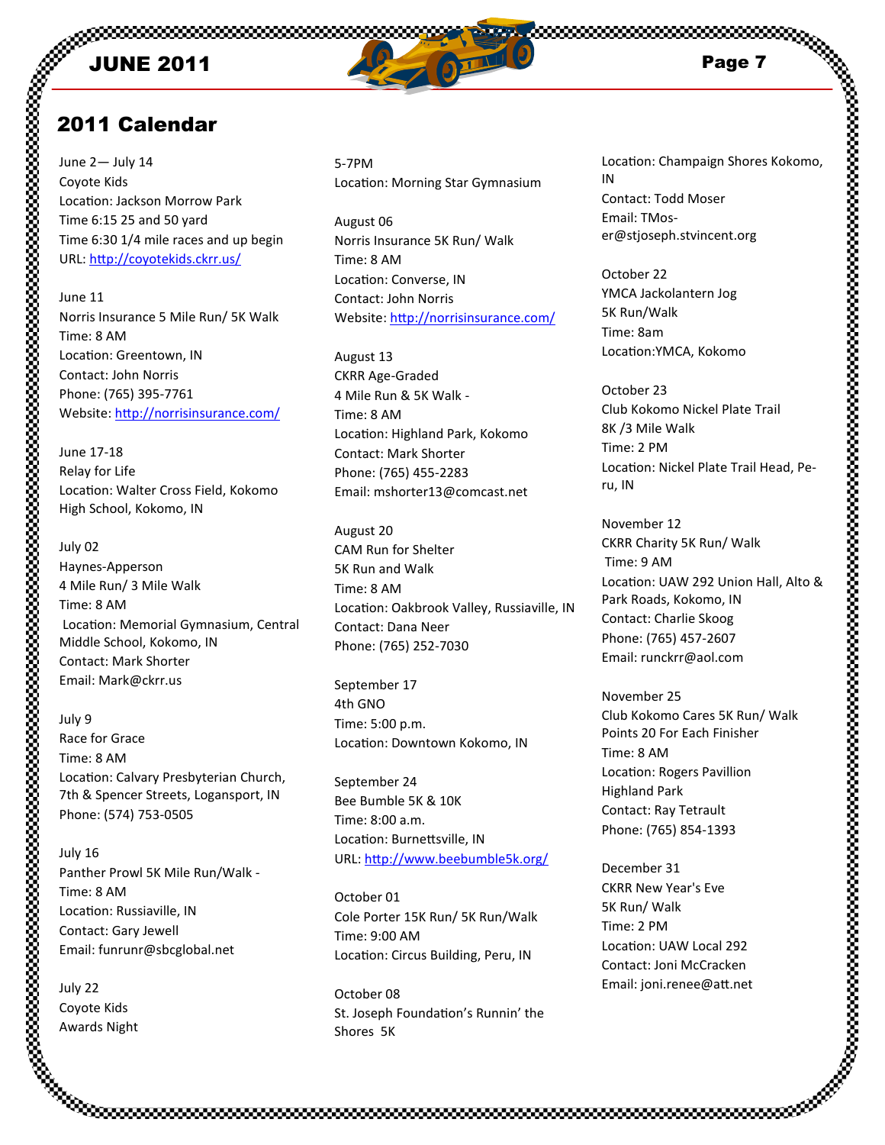

# 2011 Calendar

June 2— July 14 Coyote Kids Location: Jackson Morrow Park Time 6:15 25 and 50 yard Time 6:30 1/4 mile races and up begin URL: http://coyotekids.ckrr.us/

June 11 Norris Insurance 5 Mile Run/ 5K Walk Time: 8 AM Location: Greentown, IN Contact: John Norris Phone: (765) 395-7761 Website: http://norrisinsurance.com/

June 17-18 Relay for Life Location: Walter Cross Field, Kokomo High School, Kokomo, IN

July 02 Haynes-Apperson 4 Mile Run/ 3 Mile Walk Time: 8 AM Location: Memorial Gymnasium, Central Middle School, Kokomo, IN Contact: Mark Shorter Email: Mark@ckrr.us

July 9 Race for Grace Time: 8 AM Location: Calvary Presbyterian Church, 7th & Spencer Streets, Logansport, IN Phone: (574) 753-0505

July 16 Panther Prowl 5K Mile Run/Walk - Time: 8 AM Location: Russiaville, IN Contact: Gary Jewell Email: funrunr@sbcglobal.net

July 22 Coyote Kids Awards Night

5-7PM Location: Morning Star Gymnasium

August 06 Norris Insurance 5K Run/ Walk Time: 8 AM Location: Converse, IN Contact: John Norris Website: http://norrisinsurance.com/

August 13 CKRR Age-Graded 4 Mile Run & 5K Walk - Time: 8 AM Location: Highland Park, Kokomo Contact: Mark Shorter Phone: (765) 455-2283 Email: mshorter13@comcast.net

August 20 CAM Run for Shelter 5K Run and Walk Time: 8 AM Location: Oakbrook Valley, Russiaville, IN Contact: Dana Neer Phone: (765) 252-7030

September 17 4th GNO Time: 5:00 p.m. Location: Downtown Kokomo, IN

September 24 Bee Bumble 5K & 10K Time: 8:00 a.m. Location: Burnettsville, IN URL: http://www.beebumble5k.org/

October 01 Cole Porter 15K Run/ 5K Run/Walk Time: 9:00 AM Location: Circus Building, Peru, IN

October 08 St. Joseph Foundation's Runnin' the Shores 5K

Location: Champaign Shores Kokomo, IN Contact: Todd Moser Email: TMoser@stjoseph.stvincent.org

October 22 YMCA Jackolantern Jog 5K Run/Walk Time: 8am Location:YMCA, Kokomo

October 23 Club Kokomo Nickel Plate Trail 8K /3 Mile Walk Time: 2 PM Location: Nickel Plate Trail Head, Peru, IN

November 12 CKRR Charity 5K Run/ Walk Time: 9 AM Location: UAW 292 Union Hall, Alto & Park Roads, Kokomo, IN Contact: Charlie Skoog Phone: (765) 457-2607 Email: runckrr@aol.com

November 25 Club Kokomo Cares 5K Run/ Walk Points 20 For Each Finisher Time: 8 AM Location: Rogers Pavillion Highland Park Contact: Ray Tetrault Phone: (765) 854-1393

December 31 CKRR New Year's Eve 5K Run/ Walk Time: 2 PM Location: UAW Local 292 Contact: Joni McCracken Email: joni.renee@att.net